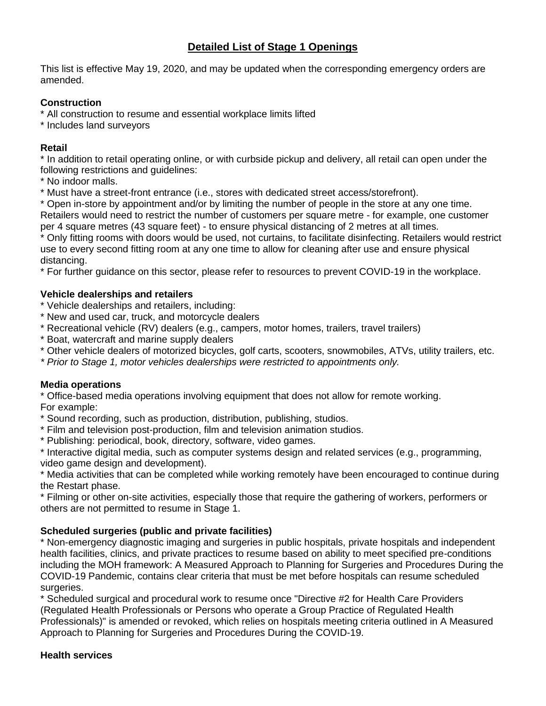# **Detailed List of Stage 1 Openings**

This list is effective May 19, 2020, and may be updated when the corresponding emergency orders are amended.

## **Construction**

\* All construction to resume and essential workplace limits lifted

\* Includes land surveyors

## **Retail**

\* In addition to retail operating online, or with curbside pickup and delivery, all retail can open under the following restrictions and guidelines:

- \* No indoor malls.
- \* Must have a street-front entrance (i.e., stores with dedicated street access/storefront).

\* Open in-store by appointment and/or by limiting the number of people in the store at any one time. Retailers would need to restrict the number of customers per square metre - for example, one customer per 4 square metres (43 square feet) - to ensure physical distancing of 2 metres at all times.

\* Only fitting rooms with doors would be used, not curtains, to facilitate disinfecting. Retailers would restrict use to every second fitting room at any one time to allow for cleaning after use and ensure physical distancing.

\* For further guidance on this sector, please refer to resources to prevent COVID-19 in the workplace.

## **Vehicle dealerships and retailers**

- \* Vehicle dealerships and retailers, including:
- \* New and used car, truck, and motorcycle dealers
- \* Recreational vehicle (RV) dealers (e.g., campers, motor homes, trailers, travel trailers)
- \* Boat, watercraft and marine supply dealers
- \* Other vehicle dealers of motorized bicycles, golf carts, scooters, snowmobiles, ATVs, utility trailers, etc.
- *\* Prior to Stage 1, motor vehicles dealerships were restricted to appointments only.*

## **Media operations**

\* Office-based media operations involving equipment that does not allow for remote working. For example:

- \* Sound recording, such as production, distribution, publishing, studios.
- \* Film and television post-production, film and television animation studios.
- \* Publishing: periodical, book, directory, software, video games.

\* Interactive digital media, such as computer systems design and related services (e.g., programming, video game design and development).

\* Media activities that can be completed while working remotely have been encouraged to continue during the Restart phase.

\* Filming or other on-site activities, especially those that require the gathering of workers, performers or others are not permitted to resume in Stage 1.

## **Scheduled surgeries (public and private facilities)**

\* Non-emergency diagnostic imaging and surgeries in public hospitals, private hospitals and independent health facilities, clinics, and private practices to resume based on ability to meet specified pre-conditions including the MOH framework: A Measured Approach to Planning for Surgeries and Procedures During the COVID-19 Pandemic, contains clear criteria that must be met before hospitals can resume scheduled surgeries.

\* Scheduled surgical and procedural work to resume once "Directive #2 for Health Care Providers (Regulated Health Professionals or Persons who operate a Group Practice of Regulated Health Professionals)" is amended or revoked, which relies on hospitals meeting criteria outlined in A Measured Approach to Planning for Surgeries and Procedures During the COVID-19.

## **Health services**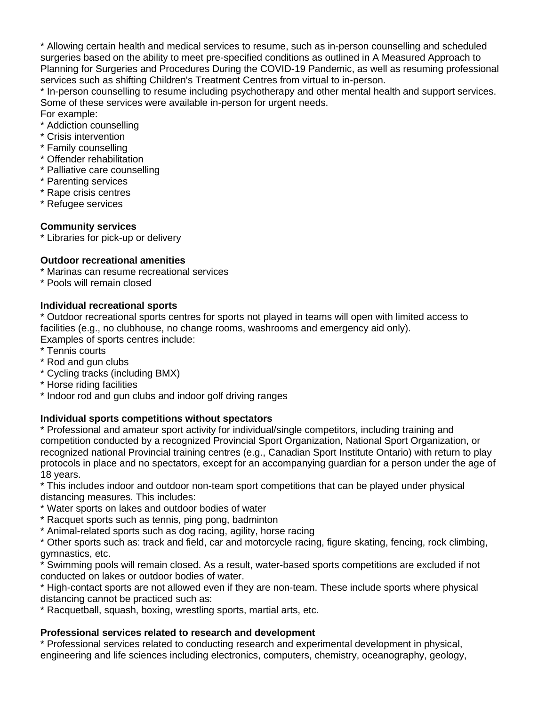\* Allowing certain health and medical services to resume, such as in-person counselling and scheduled surgeries based on the ability to meet pre-specified conditions as outlined in A Measured Approach to Planning for Surgeries and Procedures During the COVID-19 Pandemic, as well as resuming professional services such as shifting Children's Treatment Centres from virtual to in-person.

\* In-person counselling to resume including psychotherapy and other mental health and support services. Some of these services were available in-person for urgent needs.

For example:

- \* Addiction counselling
- \* Crisis intervention
- \* Family counselling
- \* Offender rehabilitation
- \* Palliative care counselling
- \* Parenting services
- \* Rape crisis centres
- \* Refugee services

#### **Community services**

\* Libraries for pick-up or delivery

#### **Outdoor recreational amenities**

- \* Marinas can resume recreational services
- \* Pools will remain closed

#### **Individual recreational sports**

\* Outdoor recreational sports centres for sports not played in teams will open with limited access to facilities (e.g., no clubhouse, no change rooms, washrooms and emergency aid only).

- Examples of sports centres include:
- \* Tennis courts
- \* Rod and gun clubs
- \* Cycling tracks (including BMX)
- \* Horse riding facilities
- \* Indoor rod and gun clubs and indoor golf driving ranges

#### **Individual sports competitions without spectators**

\* Professional and amateur sport activity for individual/single competitors, including training and competition conducted by a recognized Provincial Sport Organization, National Sport Organization, or recognized national Provincial training centres (e.g., Canadian Sport Institute Ontario) with return to play protocols in place and no spectators, except for an accompanying guardian for a person under the age of 18 years.

\* This includes indoor and outdoor non-team sport competitions that can be played under physical distancing measures. This includes:

- \* Water sports on lakes and outdoor bodies of water
- \* Racquet sports such as tennis, ping pong, badminton
- \* Animal-related sports such as dog racing, agility, horse racing

\* Other sports such as: track and field, car and motorcycle racing, figure skating, fencing, rock climbing, gymnastics, etc.

Swimming pools will remain closed. As a result, water-based sports competitions are excluded if not conducted on lakes or outdoor bodies of water.

\* High-contact sports are not allowed even if they are non-team. These include sports where physical distancing cannot be practiced such as:

\* Racquetball, squash, boxing, wrestling sports, martial arts, etc.

#### **Professional services related to research and development**

\* Professional services related to conducting research and experimental development in physical, engineering and life sciences including electronics, computers, chemistry, oceanography, geology,